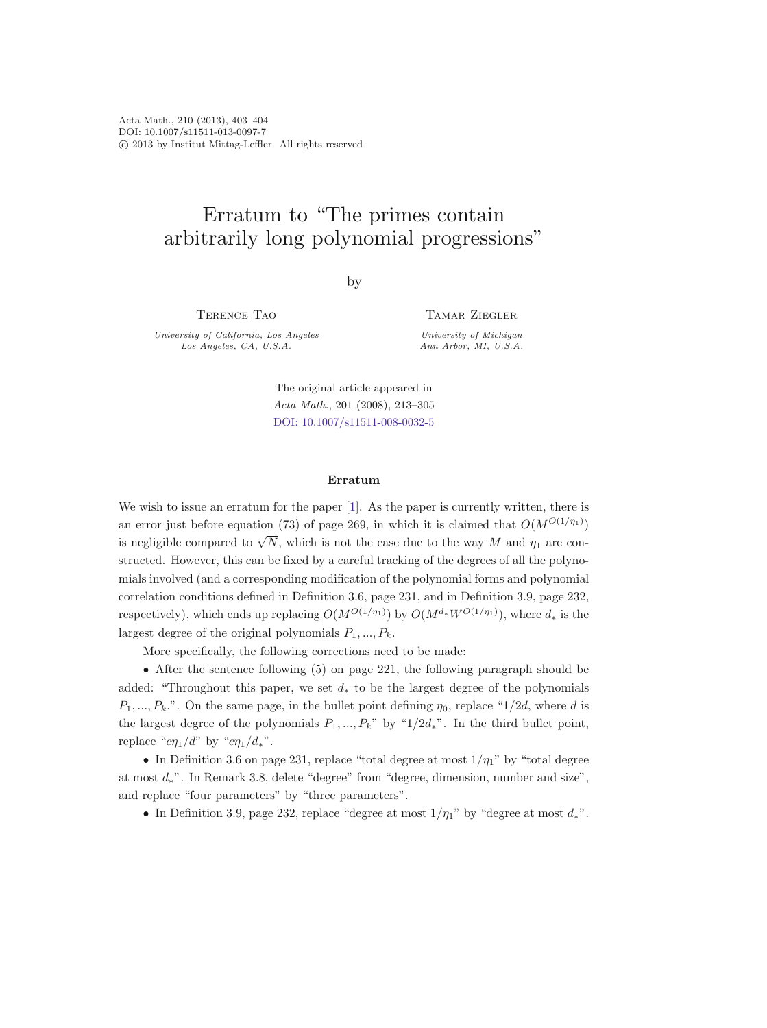Acta Math., 210 (2013), 403–404 DOI: 10.1007/s11511-013-0097-7 -c 2013 by Institut Mittag-Leffler. All rights reserved

## Erratum to "The primes contain arbitrarily long polynomial progressions"

by

Terence Tao

University of California, Los Angeles<br>Los Angeles, CA, U.S.A. Los Angeles, CA, U.S.A.

Tamar Ziegler University of Michigan<br>Ann Arbor, MI, U.S.A.

The original article appeared in Acta Math., 201 (2008), 213–305 [DOI: 10.1007/s11511-008-0032-5](http://dx.doi.org/10.1007/s11511-008-0032-5)

## **Erratum**

We wish to issue an erratum for the paper [\[1\]](#page-1-0). As the paper is currently written, there is an error just before equation (73) of page 269, in which it is claimed that  $O(M^{O(1/\eta_1)})$ is negligible compared to  $\sqrt{N}$ , which is not the case due to the way M and  $\eta_1$  are constructed. However, this can be fixed by a careful tracking of the degrees of all the polynomials involved (and a corresponding modification of the polynomial forms and polynomial correlation conditions defined in Definition 3.6, page 231, and in Definition 3.9, page 232, respectively), which ends up replacing  $O(M^{O(1/\eta_1)})$  by  $O(M^{d_*}W^{O(1/\eta_1)})$ , where  $d_*$  is the largest degree of the original polynomials  $P_1, ..., P_k$ .

More specifically, the following corrections need to be made:

• After the sentence following (5) on page 221, the following paragraph should be added: "Throughout this paper, we set  $d_*$  to be the largest degree of the polynomials  $P_1, ..., P_k$ .". On the same page, in the bullet point defining  $\eta_0$ , replace "1/2d, where d is the largest degree of the polynomials  $P_1, ..., P_k$ " by "1/2d<sub>\*</sub>". In the third bullet point, replace " $c\eta_1/d$ " by " $c\eta_1/d_*$ ".

• In Definition 3.6 on page 231, replace "total degree at most  $1/\eta_1$ " by "total degree at most <sup>d</sup>∗". In Remark 3.8, delete "degree" from "degree, dimension, number and size", and replace "four parameters" by "three parameters".

• In Definition 3.9, page 232, replace "degree at most  $1/\eta_1$ " by "degree at most  $d_*$ ".